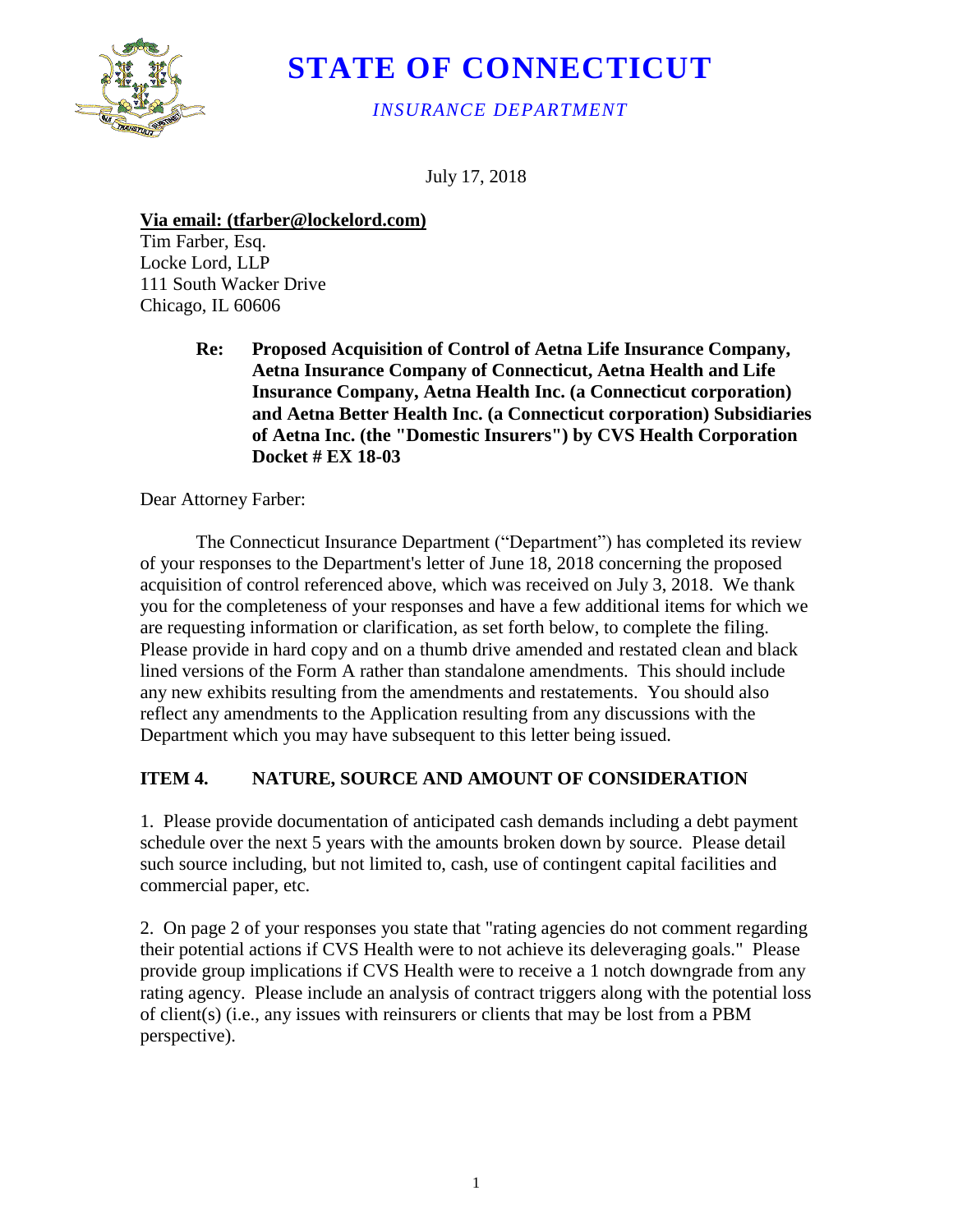

## **STATE OF CONNECTICUT**

*INSURANCE DEPARTMENT*

July 17, 2018

**Via email: (tfarber@lockelord.com)**

Tim Farber, Esq. Locke Lord, LLP 111 South Wacker Drive Chicago, IL 60606

> **Re: Proposed Acquisition of Control of Aetna Life Insurance Company, Aetna Insurance Company of Connecticut, Aetna Health and Life Insurance Company, Aetna Health Inc. (a Connecticut corporation) and Aetna Better Health Inc. (a Connecticut corporation) Subsidiaries of Aetna Inc. (the "Domestic Insurers") by CVS Health Corporation Docket # EX 18-03**

Dear Attorney Farber:

The Connecticut Insurance Department ("Department") has completed its review of your responses to the Department's letter of June 18, 2018 concerning the proposed acquisition of control referenced above, which was received on July 3, 2018. We thank you for the completeness of your responses and have a few additional items for which we are requesting information or clarification, as set forth below, to complete the filing. Please provide in hard copy and on a thumb drive amended and restated clean and black lined versions of the Form A rather than standalone amendments. This should include any new exhibits resulting from the amendments and restatements. You should also reflect any amendments to the Application resulting from any discussions with the Department which you may have subsequent to this letter being issued.

## **ITEM 4. NATURE, SOURCE AND AMOUNT OF CONSIDERATION**

1. Please provide documentation of anticipated cash demands including a debt payment schedule over the next 5 years with the amounts broken down by source. Please detail such source including, but not limited to, cash, use of contingent capital facilities and commercial paper, etc.

2. On page 2 of your responses you state that "rating agencies do not comment regarding their potential actions if CVS Health were to not achieve its deleveraging goals." Please provide group implications if CVS Health were to receive a 1 notch downgrade from any rating agency. Please include an analysis of contract triggers along with the potential loss of client(s) (i.e., any issues with reinsurers or clients that may be lost from a PBM perspective).